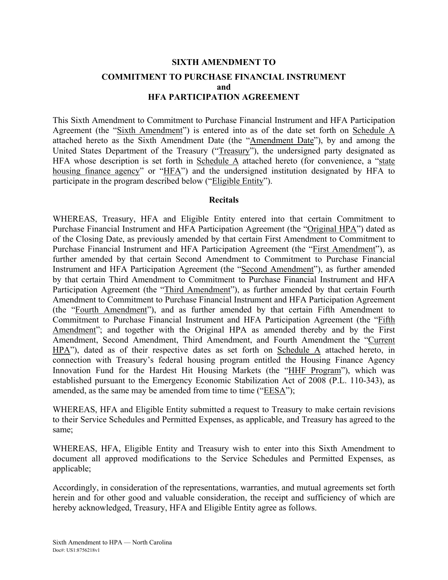# **SIXTH AMENDMENT TO COMMITMENT TO PURCHASE FINANCIAL INSTRUMENT and HFA PARTICIPATION AGREEMENT**

This Sixth Amendment to Commitment to Purchase Financial Instrument and HFA Participation Agreement (the "Sixth Amendment") is entered into as of the date set forth on Schedule A attached hereto as the Sixth Amendment Date (the "Amendment Date"), by and among the United States Department of the Treasury ("Treasury"), the undersigned party designated as HFA whose description is set forth in Schedule A attached hereto (for convenience, a "state housing finance agency" or "HFA") and the undersigned institution designated by HFA to participate in the program described below ("Eligible Entity").

### **Recitals**

WHEREAS, Treasury, HFA and Eligible Entity entered into that certain Commitment to Purchase Financial Instrument and HFA Participation Agreement (the "Original HPA") dated as of the Closing Date, as previously amended by that certain First Amendment to Commitment to Purchase Financial Instrument and HFA Participation Agreement (the "First Amendment"), as further amended by that certain Second Amendment to Commitment to Purchase Financial Instrument and HFA Participation Agreement (the "Second Amendment"), as further amended by that certain Third Amendment to Commitment to Purchase Financial Instrument and HFA Participation Agreement (the "Third Amendment"), as further amended by that certain Fourth Amendment to Commitment to Purchase Financial Instrument and HFA Participation Agreement (the "Fourth Amendment"), and as further amended by that certain Fifth Amendment to Commitment to Purchase Financial Instrument and HFA Participation Agreement (the "Fifth Amendment"; and together with the Original HPA as amended thereby and by the First Amendment, Second Amendment, Third Amendment, and Fourth Amendment the "Current HPA"), dated as of their respective dates as set forth on Schedule A attached hereto, in connection with Treasury's federal housing program entitled the Housing Finance Agency Innovation Fund for the Hardest Hit Housing Markets (the "HHF Program"), which was established pursuant to the Emergency Economic Stabilization Act of 2008 (P.L. 110-343), as amended, as the same may be amended from time to time ("EESA");

WHEREAS, HFA and Eligible Entity submitted a request to Treasury to make certain revisions to their Service Schedules and Permitted Expenses, as applicable, and Treasury has agreed to the same;

WHEREAS, HFA, Eligible Entity and Treasury wish to enter into this Sixth Amendment to document all approved modifications to the Service Schedules and Permitted Expenses, as applicable;

Accordingly, in consideration of the representations, warranties, and mutual agreements set forth herein and for other good and valuable consideration, the receipt and sufficiency of which are hereby acknowledged, Treasury, HFA and Eligible Entity agree as follows.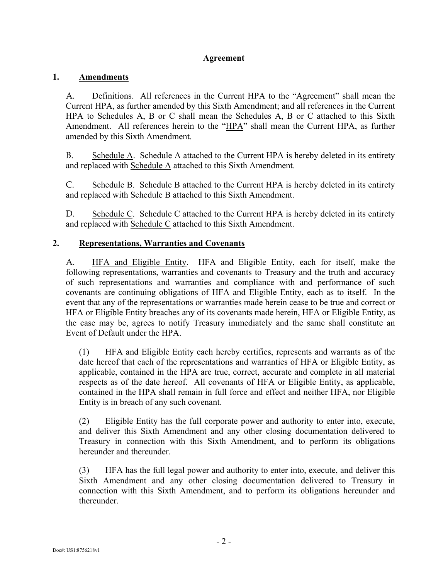# **Agreement**

# **1. Amendments**

A. Definitions. All references in the Current HPA to the "Agreement" shall mean the Current HPA, as further amended by this Sixth Amendment; and all references in the Current HPA to Schedules A, B or C shall mean the Schedules A, B or C attached to this Sixth Amendment. All references herein to the "HPA" shall mean the Current HPA, as further amended by this Sixth Amendment.

B. Schedule A. Schedule A attached to the Current HPA is hereby deleted in its entirety and replaced with Schedule A attached to this Sixth Amendment.

C. Schedule B. Schedule B attached to the Current HPA is hereby deleted in its entirety and replaced with Schedule B attached to this Sixth Amendment.

D. Schedule C. Schedule C attached to the Current HPA is hereby deleted in its entirety and replaced with Schedule C attached to this Sixth Amendment.

# **2. Representations, Warranties and Covenants**

A. HFA and Eligible Entity. HFA and Eligible Entity, each for itself, make the following representations, warranties and covenants to Treasury and the truth and accuracy of such representations and warranties and compliance with and performance of such covenants are continuing obligations of HFA and Eligible Entity, each as to itself. In the event that any of the representations or warranties made herein cease to be true and correct or HFA or Eligible Entity breaches any of its covenants made herein, HFA or Eligible Entity, as the case may be, agrees to notify Treasury immediately and the same shall constitute an Event of Default under the HPA.

(1) HFA and Eligible Entity each hereby certifies, represents and warrants as of the date hereof that each of the representations and warranties of HFA or Eligible Entity, as applicable, contained in the HPA are true, correct, accurate and complete in all material respects as of the date hereof. All covenants of HFA or Eligible Entity, as applicable, contained in the HPA shall remain in full force and effect and neither HFA, nor Eligible Entity is in breach of any such covenant.

(2) Eligible Entity has the full corporate power and authority to enter into, execute, and deliver this Sixth Amendment and any other closing documentation delivered to Treasury in connection with this Sixth Amendment, and to perform its obligations hereunder and thereunder.

(3) HFA has the full legal power and authority to enter into, execute, and deliver this Sixth Amendment and any other closing documentation delivered to Treasury in connection with this Sixth Amendment, and to perform its obligations hereunder and thereunder.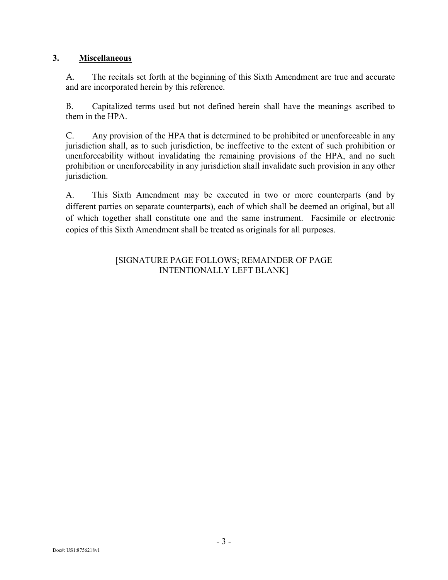# **3. Miscellaneous**

A. The recitals set forth at the beginning of this Sixth Amendment are true and accurate and are incorporated herein by this reference.

B. Capitalized terms used but not defined herein shall have the meanings ascribed to them in the HPA.

C. Any provision of the HPA that is determined to be prohibited or unenforceable in any jurisdiction shall, as to such jurisdiction, be ineffective to the extent of such prohibition or unenforceability without invalidating the remaining provisions of the HPA, and no such prohibition or unenforceability in any jurisdiction shall invalidate such provision in any other jurisdiction.

A. This Sixth Amendment may be executed in two or more counterparts (and by different parties on separate counterparts), each of which shall be deemed an original, but all of which together shall constitute one and the same instrument. Facsimile or electronic copies of this Sixth Amendment shall be treated as originals for all purposes.

# [SIGNATURE PAGE FOLLOWS; REMAINDER OF PAGE INTENTIONALLY LEFT BLANK]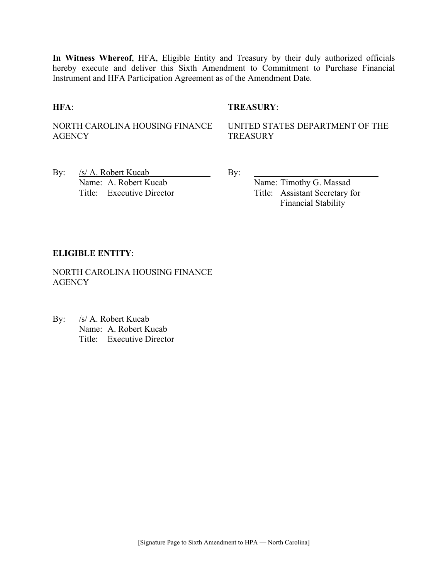**In Witness Whereof**, HFA, Eligible Entity and Treasury by their duly authorized officials hereby execute and deliver this Sixth Amendment to Commitment to Purchase Financial Instrument and HFA Participation Agreement as of the Amendment Date.

### **HFA**: **TREASURY**:

NORTH CAROLINA HOUSING FINANCE **AGENCY** 

UNITED STATES DEPARTMENT OF THE **TREASURY** 

By: /s/ A. Robert Kucab By: Name: A. Robert Kucab Name: Timothy G. Massad Title: Executive Director Title: Assistant Secretary for

Financial Stability

### **ELIGIBLE ENTITY**:

NORTH CAROLINA HOUSING FINANCE **AGENCY** 

By: /s/ A. Robert Kucab Name: A. Robert Kucab Title: Executive Director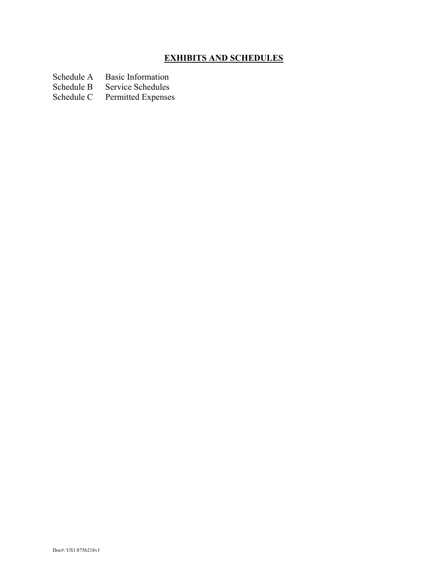# **EXHIBITS AND SCHEDULES**

- Schedule A Basic Information<br>Schedule B Service Schedules
- Schedule B Service Schedules<br>Schedule C Permitted Expenses
- Permitted Expenses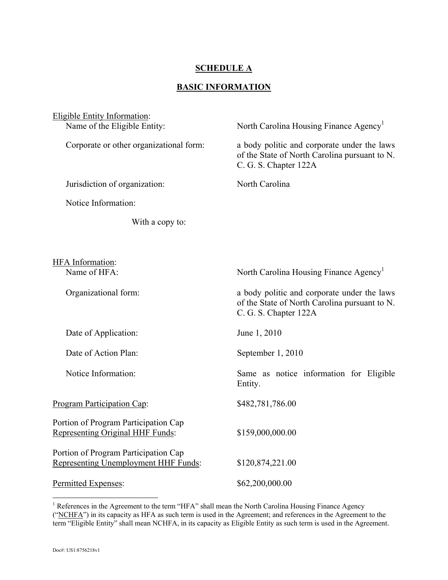# **SCHEDULE A**

# **BASIC INFORMATION**

| <b>Eligible Entity Information:</b><br>Name of the Eligible Entity:          | North Carolina Housing Finance Agency <sup>1</sup>                                                                    |
|------------------------------------------------------------------------------|-----------------------------------------------------------------------------------------------------------------------|
| Corporate or other organizational form:                                      | a body politic and corporate under the laws<br>of the State of North Carolina pursuant to N.<br>C. G. S. Chapter 122A |
| Jurisdiction of organization:                                                | North Carolina                                                                                                        |
| Notice Information:                                                          |                                                                                                                       |
| With a copy to:                                                              |                                                                                                                       |
|                                                                              |                                                                                                                       |
| <b>HFA</b> Information:<br>Name of HFA:                                      | North Carolina Housing Finance Agency <sup>1</sup>                                                                    |
| Organizational form:                                                         | a body politic and corporate under the laws<br>of the State of North Carolina pursuant to N.<br>C. G. S. Chapter 122A |
| Date of Application:                                                         | June 1, 2010                                                                                                          |
| Date of Action Plan:                                                         | September 1, 2010                                                                                                     |
| Notice Information:                                                          | Same as notice information for Eligible<br>Entity.                                                                    |
| Program Participation Cap:                                                   | \$482,781,786.00                                                                                                      |
| Portion of Program Participation Cap<br>Representing Original HHF Funds:     | \$159,000,000.00                                                                                                      |
| Portion of Program Participation Cap<br>Representing Unemployment HHF Funds: | \$120,874,221.00                                                                                                      |
| Permitted Expenses:                                                          | \$62,200,000.00                                                                                                       |

<sup>&</sup>lt;sup>1</sup> References in the Agreement to the term "HFA" shall mean the North Carolina Housing Finance Agency (" $NCHFA$ ") in its capacity as HFA as such term is used in the Agreement; and references in the Agreement to the term "Eligible Entity" shall mean NCHFA, in its capacity as Eligible Entity as such term is used in the Agreement.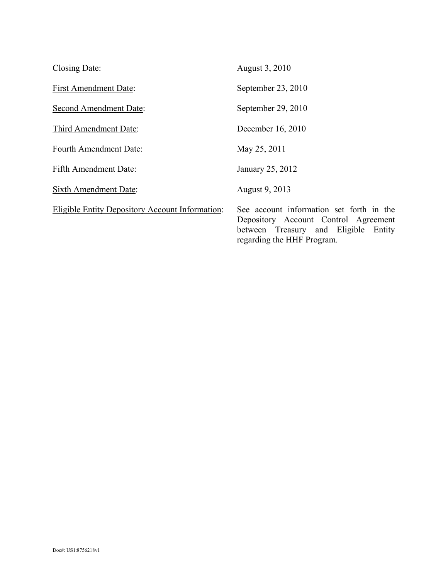| Closing Date:                                          | August 3, 2010                                                                                                                                         |
|--------------------------------------------------------|--------------------------------------------------------------------------------------------------------------------------------------------------------|
| <b>First Amendment Date:</b>                           | September 23, 2010                                                                                                                                     |
| <b>Second Amendment Date:</b>                          | September 29, 2010                                                                                                                                     |
| Third Amendment Date:                                  | December 16, 2010                                                                                                                                      |
| Fourth Amendment Date:                                 | May 25, 2011                                                                                                                                           |
| <b>Fifth Amendment Date:</b>                           | January 25, 2012                                                                                                                                       |
| <b>Sixth Amendment Date:</b>                           | August 9, 2013                                                                                                                                         |
| <b>Eligible Entity Depository Account Information:</b> | See account information set forth in the<br>Depository Account Control Agreement<br>between Treasury and Eligible Entity<br>regarding the HHF Program. |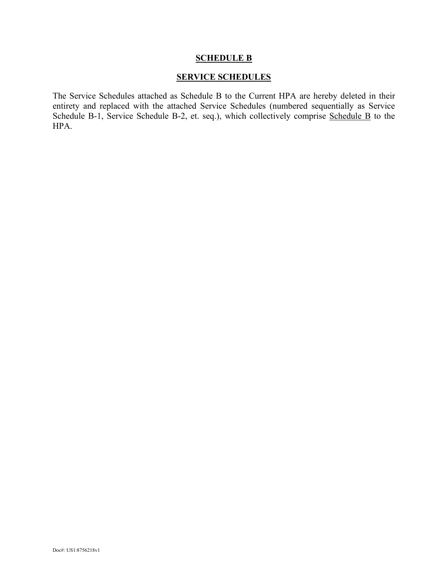#### **SCHEDULE B**

# **SERVICE SCHEDULES**

The Service Schedules attached as Schedule B to the Current HPA are hereby deleted in their entirety and replaced with the attached Service Schedules (numbered sequentially as Service Schedule B-1, Service Schedule B-2, et. seq.), which collectively comprise Schedule B to the HPA.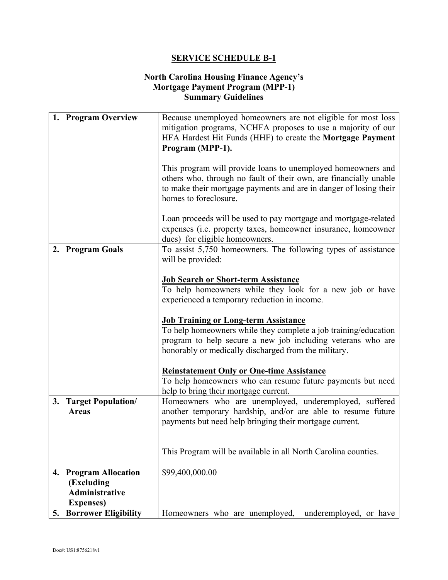# **North Carolina Housing Finance Agency's Mortgage Payment Program (MPP-1) Summary Guidelines**

|    | 1. Program Overview                                              | Because unemployed homeowners are not eligible for most loss<br>mitigation programs, NCHFA proposes to use a majority of our                                                                                                    |
|----|------------------------------------------------------------------|---------------------------------------------------------------------------------------------------------------------------------------------------------------------------------------------------------------------------------|
|    |                                                                  | HFA Hardest Hit Funds (HHF) to create the Mortgage Payment<br>Program (MPP-1).                                                                                                                                                  |
|    |                                                                  |                                                                                                                                                                                                                                 |
|    |                                                                  | This program will provide loans to unemployed homeowners and<br>others who, through no fault of their own, are financially unable<br>to make their mortgage payments and are in danger of losing their<br>homes to foreclosure. |
|    |                                                                  | Loan proceeds will be used to pay mortgage and mortgage-related<br>expenses (i.e. property taxes, homeowner insurance, homeowner<br>dues) for eligible homeowners.                                                              |
|    | 2. Program Goals                                                 | To assist 5,750 homeowners. The following types of assistance<br>will be provided:                                                                                                                                              |
|    |                                                                  | <b>Job Search or Short-term Assistance</b>                                                                                                                                                                                      |
|    |                                                                  | To help homeowners while they look for a new job or have<br>experienced a temporary reduction in income.                                                                                                                        |
|    |                                                                  | <b>Job Training or Long-term Assistance</b>                                                                                                                                                                                     |
|    |                                                                  | To help homeowners while they complete a job training/education<br>program to help secure a new job including veterans who are<br>honorably or medically discharged from the military.                                          |
|    |                                                                  | <b>Reinstatement Only or One-time Assistance</b>                                                                                                                                                                                |
|    |                                                                  | To help homeowners who can resume future payments but need<br>help to bring their mortgage current.                                                                                                                             |
|    | 3. Target Population/<br><b>Areas</b>                            | Homeowners who are unemployed, underemployed, suffered<br>another temporary hardship, and/or are able to resume future<br>payments but need help bringing their mortgage current.                                               |
|    |                                                                  |                                                                                                                                                                                                                                 |
|    |                                                                  | This Program will be available in all North Carolina counties.                                                                                                                                                                  |
| 4. | <b>Program Allocation</b><br>(Excluding<br><b>Administrative</b> | \$99,400,000.00                                                                                                                                                                                                                 |
| 5. | <b>Expenses</b> )<br><b>Borrower Eligibility</b>                 | Homeowners who are unemployed,<br>underemployed, or have                                                                                                                                                                        |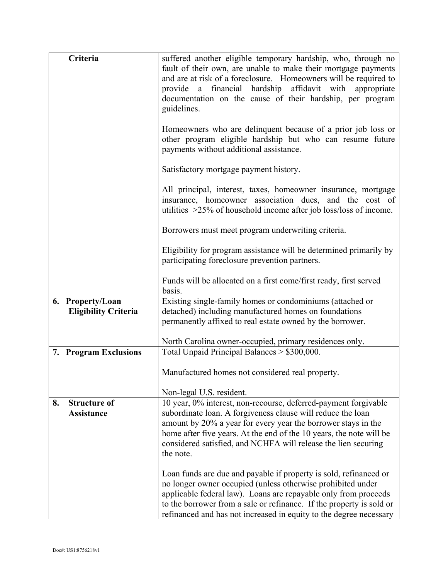| Criteria                    | suffered another eligible temporary hardship, who, through no<br>fault of their own, are unable to make their mortgage payments<br>and are at risk of a foreclosure. Homeowners will be required to<br>provide a financial hardship affidavit with appropriate<br>documentation on the cause of their hardship, per program<br>guidelines.        |
|-----------------------------|---------------------------------------------------------------------------------------------------------------------------------------------------------------------------------------------------------------------------------------------------------------------------------------------------------------------------------------------------|
|                             | Homeowners who are delinquent because of a prior job loss or<br>other program eligible hardship but who can resume future<br>payments without additional assistance.                                                                                                                                                                              |
|                             | Satisfactory mortgage payment history.                                                                                                                                                                                                                                                                                                            |
|                             | All principal, interest, taxes, homeowner insurance, mortgage<br>insurance, homeowner association dues, and the cost of<br>utilities $>25\%$ of household income after job loss/loss of income.                                                                                                                                                   |
|                             | Borrowers must meet program underwriting criteria.                                                                                                                                                                                                                                                                                                |
|                             | Eligibility for program assistance will be determined primarily by<br>participating foreclosure prevention partners.                                                                                                                                                                                                                              |
|                             | Funds will be allocated on a first come/first ready, first served<br>basis.                                                                                                                                                                                                                                                                       |
| 6. Property/Loan            | Existing single-family homes or condominiums (attached or                                                                                                                                                                                                                                                                                         |
| <b>Eligibility Criteria</b> | detached) including manufactured homes on foundations                                                                                                                                                                                                                                                                                             |
|                             | permanently affixed to real estate owned by the borrower.                                                                                                                                                                                                                                                                                         |
|                             |                                                                                                                                                                                                                                                                                                                                                   |
|                             | North Carolina owner-occupied, primary residences only.                                                                                                                                                                                                                                                                                           |
| 7. Program Exclusions       | Total Unpaid Principal Balances > \$300,000.                                                                                                                                                                                                                                                                                                      |
|                             | Manufactured homes not considered real property.                                                                                                                                                                                                                                                                                                  |
|                             | Non-legal U.S. resident.                                                                                                                                                                                                                                                                                                                          |
| <b>Structure of</b><br>8.   | 10 year, 0% interest, non-recourse, deferred-payment forgivable                                                                                                                                                                                                                                                                                   |
| <b>Assistance</b>           | subordinate loan. A forgiveness clause will reduce the loan<br>amount by 20% a year for every year the borrower stays in the<br>home after five years. At the end of the 10 years, the note will be<br>considered satisfied, and NCHFA will release the lien securing<br>the note.                                                                |
|                             | Loan funds are due and payable if property is sold, refinanced or<br>no longer owner occupied (unless otherwise prohibited under<br>applicable federal law). Loans are repayable only from proceeds<br>to the borrower from a sale or refinance. If the property is sold or<br>refinanced and has not increased in equity to the degree necessary |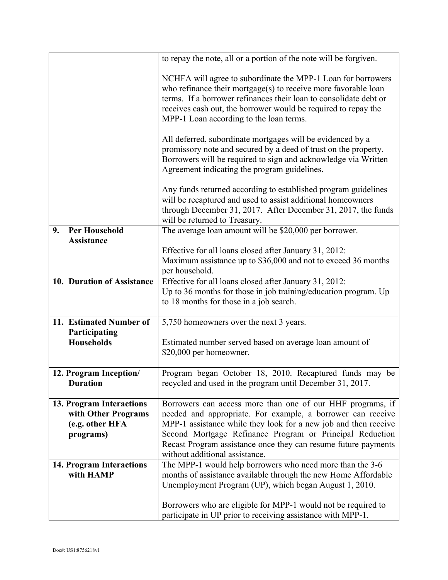|                                                                                 | to repay the note, all or a portion of the note will be forgiven.                                                                                                                                                                                                                                                                                            |
|---------------------------------------------------------------------------------|--------------------------------------------------------------------------------------------------------------------------------------------------------------------------------------------------------------------------------------------------------------------------------------------------------------------------------------------------------------|
|                                                                                 | NCHFA will agree to subordinate the MPP-1 Loan for borrowers<br>who refinance their mortgage $(s)$ to receive more favorable loan<br>terms. If a borrower refinances their loan to consolidate debt or<br>receives cash out, the borrower would be required to repay the<br>MPP-1 Loan according to the loan terms.                                          |
|                                                                                 | All deferred, subordinate mortgages will be evidenced by a<br>promissory note and secured by a deed of trust on the property.<br>Borrowers will be required to sign and acknowledge via Written<br>Agreement indicating the program guidelines.                                                                                                              |
|                                                                                 | Any funds returned according to established program guidelines<br>will be recaptured and used to assist additional homeowners<br>through December 31, 2017. After December 31, 2017, the funds<br>will be returned to Treasury.                                                                                                                              |
| <b>Per Household</b><br>9.                                                      | The average loan amount will be \$20,000 per borrower.                                                                                                                                                                                                                                                                                                       |
| <b>Assistance</b>                                                               | Effective for all loans closed after January 31, 2012:                                                                                                                                                                                                                                                                                                       |
|                                                                                 | Maximum assistance up to \$36,000 and not to exceed 36 months                                                                                                                                                                                                                                                                                                |
|                                                                                 | per household.                                                                                                                                                                                                                                                                                                                                               |
| 10. Duration of Assistance                                                      | Effective for all loans closed after January 31, 2012:<br>Up to 36 months for those in job training/education program. Up<br>to 18 months for those in a job search.                                                                                                                                                                                         |
| 11. Estimated Number of                                                         | 5,750 homeowners over the next 3 years.                                                                                                                                                                                                                                                                                                                      |
| Participating<br><b>Households</b>                                              | Estimated number served based on average loan amount of<br>\$20,000 per homeowner.                                                                                                                                                                                                                                                                           |
| 12. Program Inception/<br><b>Duration</b>                                       | Program began October 18, 2010. Recaptured funds may be<br>recycled and used in the program until December 31, 2017.                                                                                                                                                                                                                                         |
| 13. Program Interactions<br>with Other Programs<br>(e.g. other HFA<br>programs) | Borrowers can access more than one of our HHF programs, if<br>needed and appropriate. For example, a borrower can receive<br>MPP-1 assistance while they look for a new job and then receive<br>Second Mortgage Refinance Program or Principal Reduction<br>Recast Program assistance once they can resume future payments<br>without additional assistance. |
| <b>14. Program Interactions</b><br>with HAMP                                    | The MPP-1 would help borrowers who need more than the 3-6<br>months of assistance available through the new Home Affordable<br>Unemployment Program (UP), which began August 1, 2010.                                                                                                                                                                        |
|                                                                                 | Borrowers who are eligible for MPP-1 would not be required to<br>participate in UP prior to receiving assistance with MPP-1.                                                                                                                                                                                                                                 |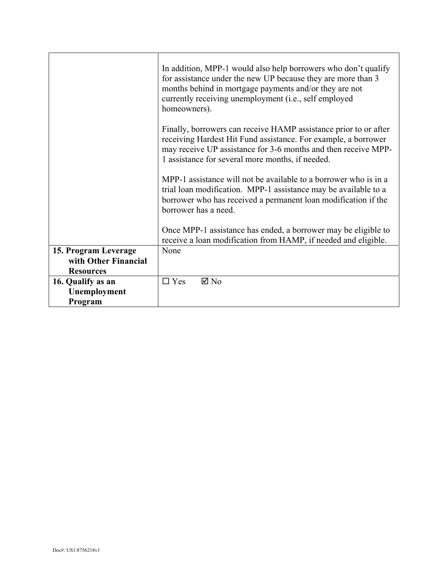|                                                                  | In addition, MPP-1 would also help borrowers who don't qualify<br>for assistance under the new UP because they are more than 3<br>months behind in mortgage payments and/or they are not<br>currently receiving unemployment (i.e., self employed<br>homeowners). |
|------------------------------------------------------------------|-------------------------------------------------------------------------------------------------------------------------------------------------------------------------------------------------------------------------------------------------------------------|
|                                                                  | Finally, borrowers can receive HAMP assistance prior to or after<br>receiving Hardest Hit Fund assistance. For example, a borrower<br>may receive UP assistance for 3-6 months and then receive MPP-<br>1 assistance for several more months, if needed.          |
|                                                                  | MPP-1 assistance will not be available to a borrower who is in a<br>trial loan modification. MPP-1 assistance may be available to a<br>borrower who has received a permanent loan modification if the<br>borrower has a need.                                     |
|                                                                  | Once MPP-1 assistance has ended, a borrower may be eligible to<br>receive a loan modification from HAMP, if needed and eligible.                                                                                                                                  |
| 15. Program Leverage<br>with Other Financial<br><b>Resources</b> | None                                                                                                                                                                                                                                                              |
| 16. Qualify as an<br>Unemployment<br>Program                     | $\boxtimes$ No<br>$\Box$ Yes                                                                                                                                                                                                                                      |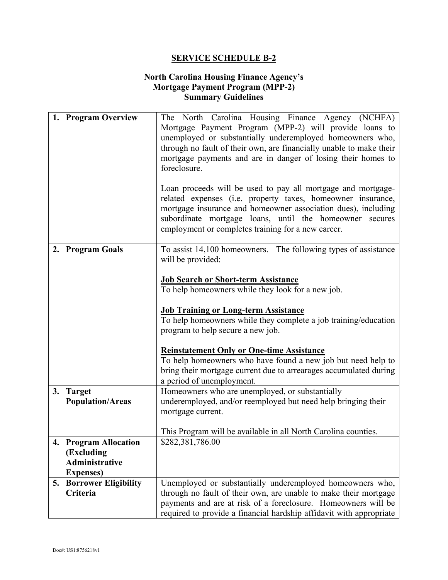# **North Carolina Housing Finance Agency's Mortgage Payment Program (MPP-2) Summary Guidelines**

|    | 1. Program Overview                              | The North Carolina Housing Finance Agency (NCHFA)<br>Mortgage Payment Program (MPP-2) will provide loans to<br>unemployed or substantially underemployed homeowners who,<br>through no fault of their own, are financially unable to make their<br>mortgage payments and are in danger of losing their homes to<br>foreclosure.<br>Loan proceeds will be used to pay all mortgage and mortgage-<br>related expenses (i.e. property taxes, homeowner insurance, |
|----|--------------------------------------------------|----------------------------------------------------------------------------------------------------------------------------------------------------------------------------------------------------------------------------------------------------------------------------------------------------------------------------------------------------------------------------------------------------------------------------------------------------------------|
|    |                                                  | mortgage insurance and homeowner association dues), including<br>subordinate mortgage loans, until the homeowner secures<br>employment or completes training for a new career.                                                                                                                                                                                                                                                                                 |
|    | 2. Program Goals                                 | To assist 14,100 homeowners. The following types of assistance<br>will be provided:                                                                                                                                                                                                                                                                                                                                                                            |
|    |                                                  | <b>Job Search or Short-term Assistance</b>                                                                                                                                                                                                                                                                                                                                                                                                                     |
|    |                                                  | To help homeowners while they look for a new job.                                                                                                                                                                                                                                                                                                                                                                                                              |
|    |                                                  | <b>Job Training or Long-term Assistance</b>                                                                                                                                                                                                                                                                                                                                                                                                                    |
|    |                                                  | To help homeowners while they complete a job training/education<br>program to help secure a new job.                                                                                                                                                                                                                                                                                                                                                           |
|    |                                                  | <b>Reinstatement Only or One-time Assistance</b>                                                                                                                                                                                                                                                                                                                                                                                                               |
|    |                                                  | To help homeowners who have found a new job but need help to<br>bring their mortgage current due to arrearages accumulated during<br>a period of unemployment.                                                                                                                                                                                                                                                                                                 |
|    | 3. Target                                        | Homeowners who are unemployed, or substantially                                                                                                                                                                                                                                                                                                                                                                                                                |
|    | <b>Population/Areas</b>                          | underemployed, and/or reemployed but need help bringing their<br>mortgage current.                                                                                                                                                                                                                                                                                                                                                                             |
|    |                                                  | This Program will be available in all North Carolina counties.                                                                                                                                                                                                                                                                                                                                                                                                 |
|    | 4. Program Allocation                            | \$282,381,786.00                                                                                                                                                                                                                                                                                                                                                                                                                                               |
|    | (Excluding                                       |                                                                                                                                                                                                                                                                                                                                                                                                                                                                |
|    | <b>Administrative</b>                            |                                                                                                                                                                                                                                                                                                                                                                                                                                                                |
| 5. | <b>Expenses</b> )<br><b>Borrower Eligibility</b> | Unemployed or substantially underemployed homeowners who,                                                                                                                                                                                                                                                                                                                                                                                                      |
|    | Criteria                                         | through no fault of their own, are unable to make their mortgage                                                                                                                                                                                                                                                                                                                                                                                               |
|    |                                                  | payments and are at risk of a foreclosure. Homeowners will be                                                                                                                                                                                                                                                                                                                                                                                                  |
|    |                                                  | required to provide a financial hardship affidavit with appropriate                                                                                                                                                                                                                                                                                                                                                                                            |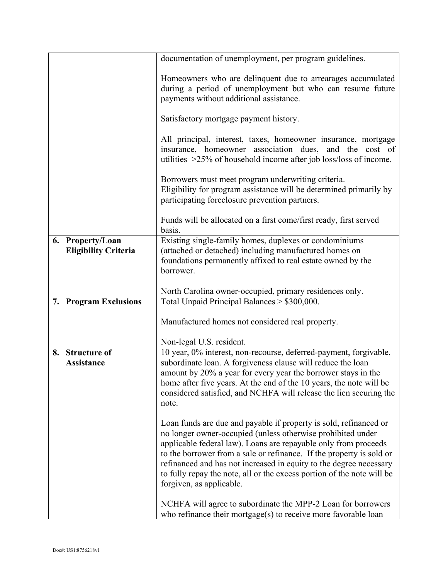|    |                             | documentation of unemployment, per program guidelines.                                                                                                                                              |
|----|-----------------------------|-----------------------------------------------------------------------------------------------------------------------------------------------------------------------------------------------------|
|    |                             | Homeowners who are delinquent due to arrearages accumulated<br>during a period of unemployment but who can resume future<br>payments without additional assistance.                                 |
|    |                             | Satisfactory mortgage payment history.                                                                                                                                                              |
|    |                             | All principal, interest, taxes, homeowner insurance, mortgage<br>insurance, homeowner association dues, and the cost of<br>utilities $>25\%$ of household income after job loss/loss of income.     |
|    |                             | Borrowers must meet program underwriting criteria.<br>Eligibility for program assistance will be determined primarily by<br>participating foreclosure prevention partners.                          |
|    |                             | Funds will be allocated on a first come/first ready, first served<br>basis.                                                                                                                         |
|    | 6. Property/Loan            | Existing single-family homes, duplexes or condominiums                                                                                                                                              |
|    | <b>Eligibility Criteria</b> | (attached or detached) including manufactured homes on                                                                                                                                              |
|    |                             | foundations permanently affixed to real estate owned by the<br>borrower.                                                                                                                            |
|    |                             |                                                                                                                                                                                                     |
|    |                             | North Carolina owner-occupied, primary residences only.                                                                                                                                             |
|    | 7. Program Exclusions       | Total Unpaid Principal Balances > \$300,000.                                                                                                                                                        |
|    |                             |                                                                                                                                                                                                     |
|    |                             | Manufactured homes not considered real property.                                                                                                                                                    |
|    |                             | Non-legal U.S. resident.                                                                                                                                                                            |
| 8. | <b>Structure of</b>         | 10 year, 0% interest, non-recourse, deferred-payment, forgivable,                                                                                                                                   |
|    | Assistance                  | subordinate loan. A forgiveness clause will reduce the loan                                                                                                                                         |
|    |                             | amount by 20% a year for every year the borrower stays in the                                                                                                                                       |
|    |                             | home after five years. At the end of the 10 years, the note will be                                                                                                                                 |
|    |                             | considered satisfied, and NCHFA will release the lien securing the<br>note.                                                                                                                         |
|    |                             |                                                                                                                                                                                                     |
|    |                             | Loan funds are due and payable if property is sold, refinanced or<br>no longer owner-occupied (unless otherwise prohibited under<br>applicable federal law). Loans are repayable only from proceeds |
|    |                             | to the borrower from a sale or refinance. If the property is sold or                                                                                                                                |
|    |                             | refinanced and has not increased in equity to the degree necessary                                                                                                                                  |
|    |                             | to fully repay the note, all or the excess portion of the note will be                                                                                                                              |
|    |                             | forgiven, as applicable.                                                                                                                                                                            |
|    |                             | NCHFA will agree to subordinate the MPP-2 Loan for borrowers                                                                                                                                        |
|    |                             | who refinance their mortgage $(s)$ to receive more favorable loan                                                                                                                                   |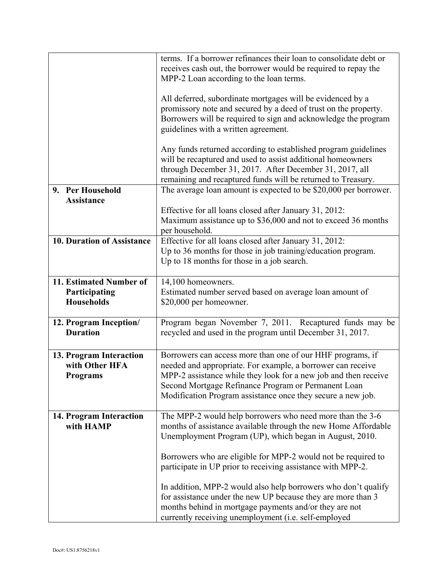|                            | terms. If a borrower refinances their loan to consolidate debt or                                                             |
|----------------------------|-------------------------------------------------------------------------------------------------------------------------------|
|                            | receives cash out, the borrower would be required to repay the                                                                |
|                            | MPP-2 Loan according to the loan terms.                                                                                       |
|                            |                                                                                                                               |
|                            | All deferred, subordinate mortgages will be evidenced by a<br>promissory note and secured by a deed of trust on the property. |
|                            | Borrowers will be required to sign and acknowledge the program                                                                |
|                            | guidelines with a written agreement.                                                                                          |
|                            |                                                                                                                               |
|                            | Any funds returned according to established program guidelines                                                                |
|                            | will be recaptured and used to assist additional homeowners                                                                   |
|                            | through December 31, 2017. After December 31, 2017, all                                                                       |
|                            | remaining and recaptured funds will be returned to Treasury.                                                                  |
| 9. Per Household           | The average loan amount is expected to be \$20,000 per borrower.                                                              |
| <b>Assistance</b>          |                                                                                                                               |
|                            | Effective for all loans closed after January 31, 2012:                                                                        |
|                            | Maximum assistance up to \$36,000 and not to exceed 36 months                                                                 |
|                            | per household.                                                                                                                |
| 10. Duration of Assistance | Effective for all loans closed after January 31, 2012:                                                                        |
|                            | Up to 36 months for those in job training/education program.                                                                  |
|                            | Up to 18 months for those in a job search.                                                                                    |
|                            |                                                                                                                               |
| 11. Estimated Number of    | 14,100 homeowners.                                                                                                            |
| Participating              | Estimated number served based on average loan amount of                                                                       |
| <b>Households</b>          | \$20,000 per homeowner.                                                                                                       |
| 12. Program Inception/     | Program began November 7, 2011. Recaptured funds may be                                                                       |
| <b>Duration</b>            | recycled and used in the program until December 31, 2017.                                                                     |
|                            |                                                                                                                               |
| 13. Program Interaction    | Borrowers can access more than one of our HHF programs, if                                                                    |
| with Other HFA             | needed and appropriate. For example, a borrower can receive                                                                   |
| <b>Programs</b>            | MPP-2 assistance while they look for a new job and then receive                                                               |
|                            | Second Mortgage Refinance Program or Permanent Loan                                                                           |
|                            | Modification Program assistance once they secure a new job.                                                                   |
|                            |                                                                                                                               |
| 14. Program Interaction    | The MPP-2 would help borrowers who need more than the 3-6                                                                     |
| with HAMP                  | months of assistance available through the new Home Affordable                                                                |
|                            | Unemployment Program (UP), which began in August, 2010.                                                                       |
|                            |                                                                                                                               |
|                            | Borrowers who are eligible for MPP-2 would not be required to                                                                 |
|                            | participate in UP prior to receiving assistance with MPP-2.                                                                   |
|                            |                                                                                                                               |
|                            | In addition, MPP-2 would also help borrowers who don't qualify                                                                |
|                            | for assistance under the new UP because they are more than 3                                                                  |
|                            | months behind in mortgage payments and/or they are not                                                                        |
|                            | currently receiving unemployment (i.e. self-employed                                                                          |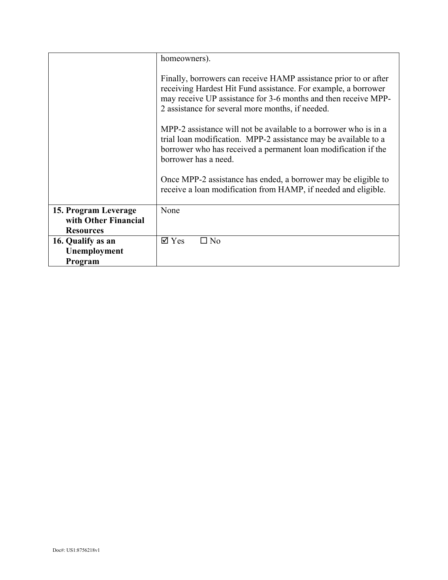|                      | homeowners).                                                                                                                                                                                                                                             |
|----------------------|----------------------------------------------------------------------------------------------------------------------------------------------------------------------------------------------------------------------------------------------------------|
|                      | Finally, borrowers can receive HAMP assistance prior to or after<br>receiving Hardest Hit Fund assistance. For example, a borrower<br>may receive UP assistance for 3-6 months and then receive MPP-<br>2 assistance for several more months, if needed. |
|                      | MPP-2 assistance will not be available to a borrower who is in a<br>trial loan modification. MPP-2 assistance may be available to a<br>borrower who has received a permanent loan modification if the<br>borrower has a need.                            |
|                      | Once MPP-2 assistance has ended, a borrower may be eligible to<br>receive a loan modification from HAMP, if needed and eligible.                                                                                                                         |
| 15. Program Leverage | None                                                                                                                                                                                                                                                     |
| with Other Financial |                                                                                                                                                                                                                                                          |
| <b>Resources</b>     |                                                                                                                                                                                                                                                          |
| 16. Qualify as an    | $\boxtimes$ Yes<br>⊐ No                                                                                                                                                                                                                                  |
| Unemployment         |                                                                                                                                                                                                                                                          |
| Program              |                                                                                                                                                                                                                                                          |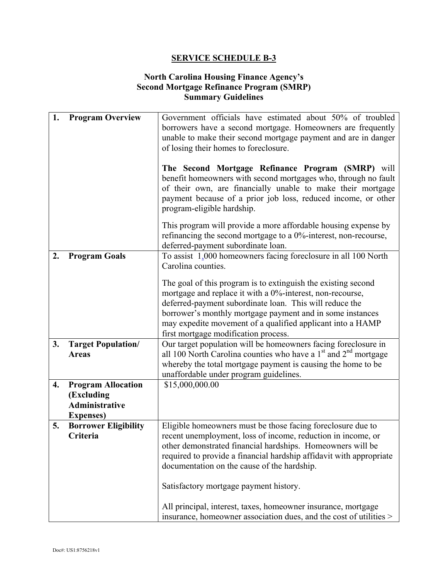# **North Carolina Housing Finance Agency's Second Mortgage Refinance Program (SMRP) Summary Guidelines**

| 1. | <b>Program Overview</b>     | Government officials have estimated about 50% of troubled           |
|----|-----------------------------|---------------------------------------------------------------------|
|    |                             | borrowers have a second mortgage. Homeowners are frequently         |
|    |                             | unable to make their second mortgage payment and are in danger      |
|    |                             |                                                                     |
|    |                             | of losing their homes to foreclosure.                               |
|    |                             |                                                                     |
|    |                             | The Second Mortgage Refinance Program (SMRP) will                   |
|    |                             | benefit homeowners with second mortgages who, through no fault      |
|    |                             | of their own, are financially unable to make their mortgage         |
|    |                             | payment because of a prior job loss, reduced income, or other       |
|    |                             | program-eligible hardship.                                          |
|    |                             |                                                                     |
|    |                             | This program will provide a more affordable housing expense by      |
|    |                             | refinancing the second mortgage to a 0%-interest, non-recourse,     |
|    |                             | deferred-payment subordinate loan.                                  |
| 2. | <b>Program Goals</b>        | To assist 1,000 homeowners facing foreclosure in all 100 North      |
|    |                             | Carolina counties.                                                  |
|    |                             | The goal of this program is to extinguish the existing second       |
|    |                             |                                                                     |
|    |                             | mortgage and replace it with a 0%-interest, non-recourse,           |
|    |                             | deferred-payment subordinate loan. This will reduce the             |
|    |                             | borrower's monthly mortgage payment and in some instances           |
|    |                             | may expedite movement of a qualified applicant into a HAMP          |
|    |                             | first mortgage modification process.                                |
| 3. | <b>Target Population/</b>   | Our target population will be homeowners facing foreclosure in      |
|    | <b>Areas</b>                | all 100 North Carolina counties who have a $1st$ and $2nd$ mortgage |
|    |                             | whereby the total mortgage payment is causing the home to be        |
|    |                             | unaffordable under program guidelines.                              |
| 4. | <b>Program Allocation</b>   | \$15,000,000.00                                                     |
|    | (Excluding                  |                                                                     |
|    | <b>Administrative</b>       |                                                                     |
|    | <b>Expenses</b> )           |                                                                     |
| 5. | <b>Borrower Eligibility</b> | Eligible homeowners must be those facing foreclosure due to         |
|    | Criteria                    | recent unemployment, loss of income, reduction in income, or        |
|    |                             | other demonstrated financial hardships. Homeowners will be          |
|    |                             | required to provide a financial hardship affidavit with appropriate |
|    |                             |                                                                     |
|    |                             | documentation on the cause of the hardship.                         |
|    |                             |                                                                     |
|    |                             | Satisfactory mortgage payment history.                              |
|    |                             |                                                                     |
|    |                             | All principal, interest, taxes, homeowner insurance, mortgage       |
|    |                             | insurance, homeowner association dues, and the cost of utilities >  |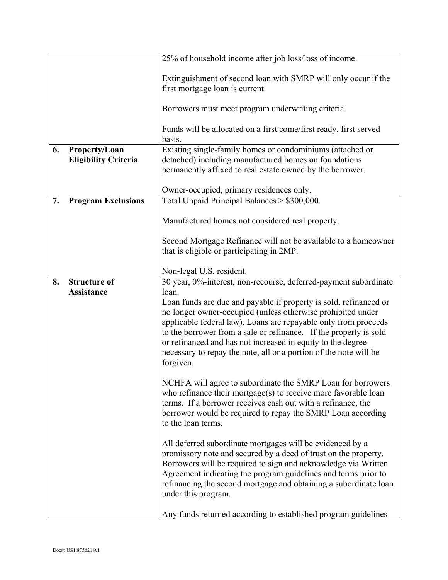|    |                             | 25% of household income after job loss/loss of income.                      |
|----|-----------------------------|-----------------------------------------------------------------------------|
|    |                             | Extinguishment of second loan with SMRP will only occur if the              |
|    |                             | first mortgage loan is current.                                             |
|    |                             | Borrowers must meet program underwriting criteria.                          |
|    |                             | Funds will be allocated on a first come/first ready, first served<br>basis. |
| 6. | Property/Loan               | Existing single-family homes or condominiums (attached or                   |
|    | <b>Eligibility Criteria</b> | detached) including manufactured homes on foundations                       |
|    |                             | permanently affixed to real estate owned by the borrower.                   |
|    |                             | Owner-occupied, primary residences only.                                    |
| 7. | <b>Program Exclusions</b>   | Total Unpaid Principal Balances > \$300,000.                                |
|    |                             |                                                                             |
|    |                             | Manufactured homes not considered real property.                            |
|    |                             | Second Mortgage Refinance will not be available to a homeowner              |
|    |                             | that is eligible or participating in 2MP.                                   |
|    |                             |                                                                             |
|    |                             | Non-legal U.S. resident.                                                    |
| 8. | <b>Structure of</b>         | 30 year, 0%-interest, non-recourse, deferred-payment subordinate            |
|    | Assistance                  | loan.<br>Loan funds are due and payable if property is sold, refinanced or  |
|    |                             | no longer owner-occupied (unless otherwise prohibited under                 |
|    |                             | applicable federal law). Loans are repayable only from proceeds             |
|    |                             | to the borrower from a sale or refinance. If the property is sold           |
|    |                             | or refinanced and has not increased in equity to the degree                 |
|    |                             | necessary to repay the note, all or a portion of the note will be           |
|    |                             | forgiven.                                                                   |
|    |                             | NCHFA will agree to subordinate the SMRP Loan for borrowers                 |
|    |                             | who refinance their mortgage(s) to receive more favorable loan              |
|    |                             | terms. If a borrower receives cash out with a refinance, the                |
|    |                             | borrower would be required to repay the SMRP Loan according                 |
|    |                             | to the loan terms.                                                          |
|    |                             | All deferred subordinate mortgages will be evidenced by a                   |
|    |                             | promissory note and secured by a deed of trust on the property.             |
|    |                             | Borrowers will be required to sign and acknowledge via Written              |
|    |                             | Agreement indicating the program guidelines and terms prior to              |
|    |                             | refinancing the second mortgage and obtaining a subordinate loan            |
|    |                             | under this program.                                                         |
|    |                             | Any funds returned according to established program guidelines              |
|    |                             |                                                                             |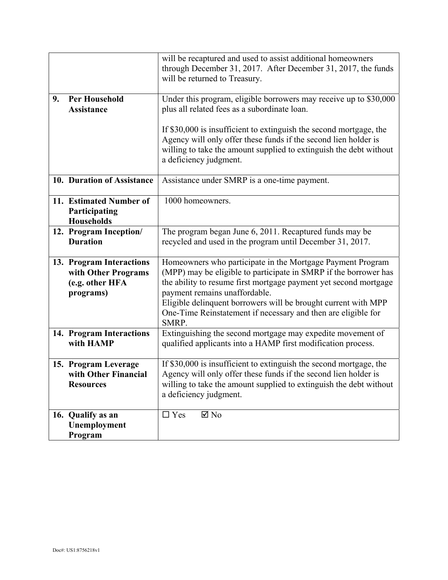|    |                                                                                 | will be recaptured and used to assist additional homeowners<br>through December 31, 2017. After December 31, 2017, the funds<br>will be returned to Treasury.                                                                                                                                                                                                                   |
|----|---------------------------------------------------------------------------------|---------------------------------------------------------------------------------------------------------------------------------------------------------------------------------------------------------------------------------------------------------------------------------------------------------------------------------------------------------------------------------|
| 9. | <b>Per Household</b><br><b>Assistance</b>                                       | Under this program, eligible borrowers may receive up to \$30,000<br>plus all related fees as a subordinate loan.                                                                                                                                                                                                                                                               |
|    |                                                                                 | If \$30,000 is insufficient to extinguish the second mortgage, the<br>Agency will only offer these funds if the second lien holder is<br>willing to take the amount supplied to extinguish the debt without<br>a deficiency judgment.                                                                                                                                           |
|    | 10. Duration of Assistance                                                      | Assistance under SMRP is a one-time payment.                                                                                                                                                                                                                                                                                                                                    |
|    | 11. Estimated Number of<br>Participating<br><b>Households</b>                   | 1000 homeowners.                                                                                                                                                                                                                                                                                                                                                                |
|    | 12. Program Inception/<br><b>Duration</b>                                       | The program began June 6, 2011. Recaptured funds may be<br>recycled and used in the program until December 31, 2017.                                                                                                                                                                                                                                                            |
|    | 13. Program Interactions<br>with Other Programs<br>(e.g. other HFA<br>programs) | Homeowners who participate in the Mortgage Payment Program<br>(MPP) may be eligible to participate in SMRP if the borrower has<br>the ability to resume first mortgage payment yet second mortgage<br>payment remains unaffordable.<br>Eligible delinquent borrowers will be brought current with MPP<br>One-Time Reinstatement if necessary and then are eligible for<br>SMRP. |
|    | 14. Program Interactions<br>with HAMP                                           | Extinguishing the second mortgage may expedite movement of<br>qualified applicants into a HAMP first modification process.                                                                                                                                                                                                                                                      |
|    | 15. Program Leverage<br>with Other Financial<br><b>Resources</b>                | If \$30,000 is insufficient to extinguish the second mortgage, the<br>Agency will only offer these funds if the second lien holder is<br>willing to take the amount supplied to extinguish the debt without<br>a deficiency judgment.                                                                                                                                           |
|    | 16. Qualify as an<br>Unemployment<br>Program                                    | $\boxtimes$ No<br>$\Box$ Yes                                                                                                                                                                                                                                                                                                                                                    |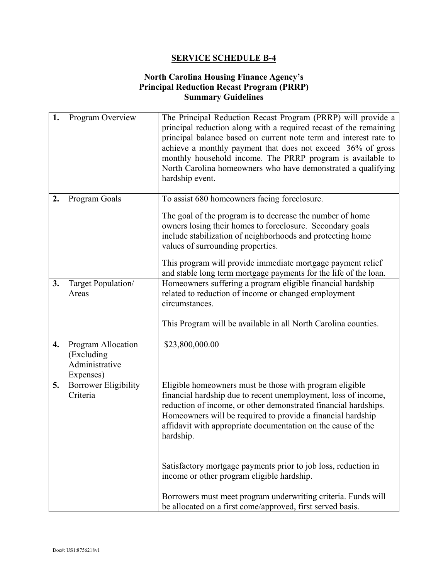# **North Carolina Housing Finance Agency's Principal Reduction Recast Program (PRRP) Summary Guidelines**

| 1. | Program Overview                                                | The Principal Reduction Recast Program (PRRP) will provide a<br>principal reduction along with a required recast of the remaining<br>principal balance based on current note term and interest rate to<br>achieve a monthly payment that does not exceed 36% of gross<br>monthly household income. The PRRP program is available to<br>North Carolina homeowners who have demonstrated a qualifying<br>hardship event. |
|----|-----------------------------------------------------------------|------------------------------------------------------------------------------------------------------------------------------------------------------------------------------------------------------------------------------------------------------------------------------------------------------------------------------------------------------------------------------------------------------------------------|
| 2. | Program Goals                                                   | To assist 680 homeowners facing foreclosure.<br>The goal of the program is to decrease the number of home                                                                                                                                                                                                                                                                                                              |
|    |                                                                 | owners losing their homes to foreclosure. Secondary goals<br>include stabilization of neighborhoods and protecting home<br>values of surrounding properties.                                                                                                                                                                                                                                                           |
|    |                                                                 | This program will provide immediate mortgage payment relief<br>and stable long term mortgage payments for the life of the loan.                                                                                                                                                                                                                                                                                        |
| 3. | Target Population/<br>Areas                                     | Homeowners suffering a program eligible financial hardship<br>related to reduction of income or changed employment<br>circumstances.                                                                                                                                                                                                                                                                                   |
|    |                                                                 | This Program will be available in all North Carolina counties.                                                                                                                                                                                                                                                                                                                                                         |
| 4. | Program Allocation<br>(Excluding<br>Administrative<br>Expenses) | \$23,800,000.00                                                                                                                                                                                                                                                                                                                                                                                                        |
| 5. | <b>Borrower Eligibility</b><br>Criteria                         | Eligible homeowners must be those with program eligible<br>financial hardship due to recent unemployment, loss of income,<br>reduction of income, or other demonstrated financial hardships.<br>Homeowners will be required to provide a financial hardship<br>affidavit with appropriate documentation on the cause of the<br>hardship.                                                                               |
|    |                                                                 | Satisfactory mortgage payments prior to job loss, reduction in<br>income or other program eligible hardship.                                                                                                                                                                                                                                                                                                           |
|    |                                                                 | Borrowers must meet program underwriting criteria. Funds will<br>be allocated on a first come/approved, first served basis.                                                                                                                                                                                                                                                                                            |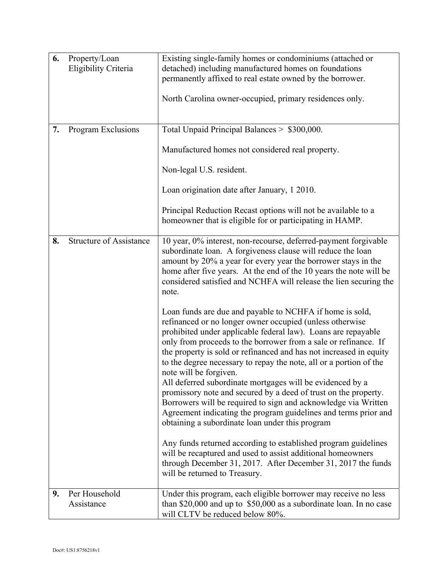| 6. | Property/Loan<br>Eligibility Criteria | Existing single-family homes or condominiums (attached or<br>detached) including manufactured homes on foundations<br>permanently affixed to real estate owned by the borrower.<br>North Carolina owner-occupied, primary residences only.                                                                                                                                                                                                                                                                                                                                                                                                                                                                                                                                                                                                                                                                                                                                                                                                                                                                                                                                                                                                                                                                                                      |
|----|---------------------------------------|-------------------------------------------------------------------------------------------------------------------------------------------------------------------------------------------------------------------------------------------------------------------------------------------------------------------------------------------------------------------------------------------------------------------------------------------------------------------------------------------------------------------------------------------------------------------------------------------------------------------------------------------------------------------------------------------------------------------------------------------------------------------------------------------------------------------------------------------------------------------------------------------------------------------------------------------------------------------------------------------------------------------------------------------------------------------------------------------------------------------------------------------------------------------------------------------------------------------------------------------------------------------------------------------------------------------------------------------------|
| 7. | Program Exclusions                    | Total Unpaid Principal Balances > \$300,000.<br>Manufactured homes not considered real property.<br>Non-legal U.S. resident.<br>Loan origination date after January, 1 2010.<br>Principal Reduction Recast options will not be available to a<br>homeowner that is eligible for or participating in HAMP.                                                                                                                                                                                                                                                                                                                                                                                                                                                                                                                                                                                                                                                                                                                                                                                                                                                                                                                                                                                                                                       |
| 8. | <b>Structure of Assistance</b>        | 10 year, 0% interest, non-recourse, deferred-payment forgivable<br>subordinate loan. A forgiveness clause will reduce the loan<br>amount by 20% a year for every year the borrower stays in the<br>home after five years. At the end of the 10 years the note will be<br>considered satisfied and NCHFA will release the lien securing the<br>note.<br>Loan funds are due and payable to NCHFA if home is sold,<br>refinanced or no longer owner occupied (unless otherwise<br>prohibited under applicable federal law). Loans are repayable<br>only from proceeds to the borrower from a sale or refinance. If<br>the property is sold or refinanced and has not increased in equity<br>to the degree necessary to repay the note, all or a portion of the<br>note will be forgiven.<br>All deferred subordinate mortgages will be evidenced by a<br>promissory note and secured by a deed of trust on the property.<br>Borrowers will be required to sign and acknowledge via Written<br>Agreement indicating the program guidelines and terms prior and<br>obtaining a subordinate loan under this program<br>Any funds returned according to established program guidelines<br>will be recaptured and used to assist additional homeowners<br>through December 31, 2017. After December 31, 2017 the funds<br>will be returned to Treasury. |
| 9. | Per Household<br>Assistance           | Under this program, each eligible borrower may receive no less<br>than \$20,000 and up to $$50,000$ as a subordinate loan. In no case<br>will CLTV be reduced below 80%.                                                                                                                                                                                                                                                                                                                                                                                                                                                                                                                                                                                                                                                                                                                                                                                                                                                                                                                                                                                                                                                                                                                                                                        |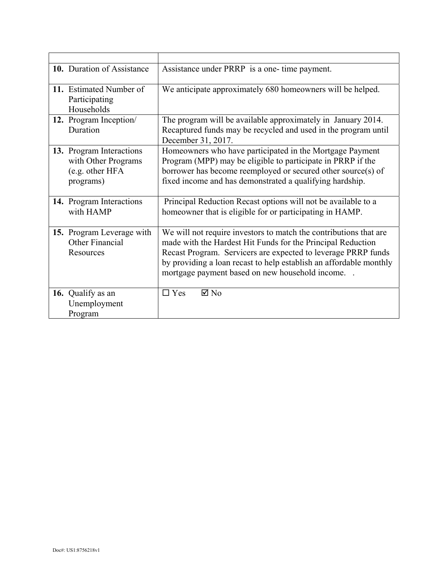| 10. Duration of Assistance                                                      | Assistance under PRRP is a one- time payment.                                                                                                                                                                                                                                                                             |
|---------------------------------------------------------------------------------|---------------------------------------------------------------------------------------------------------------------------------------------------------------------------------------------------------------------------------------------------------------------------------------------------------------------------|
| 11. Estimated Number of<br>Participating<br>Households                          | We anticipate approximately 680 homeowners will be helped.                                                                                                                                                                                                                                                                |
| 12. Program Inception/<br>Duration                                              | The program will be available approximately in January 2014.<br>Recaptured funds may be recycled and used in the program until<br>December 31, 2017.                                                                                                                                                                      |
| 13. Program Interactions<br>with Other Programs<br>(e.g. other HFA<br>programs) | Homeowners who have participated in the Mortgage Payment<br>Program (MPP) may be eligible to participate in PRRP if the<br>borrower has become reemployed or secured other source(s) of<br>fixed income and has demonstrated a qualifying hardship.                                                                       |
| 14. Program Interactions<br>with HAMP                                           | Principal Reduction Recast options will not be available to a<br>homeowner that is eligible for or participating in HAMP.                                                                                                                                                                                                 |
| 15. Program Leverage with<br>Other Financial<br>Resources                       | We will not require investors to match the contributions that are<br>made with the Hardest Hit Funds for the Principal Reduction<br>Recast Program. Servicers are expected to leverage PRRP funds<br>by providing a loan recast to help establish an affordable monthly<br>mortgage payment based on new household income |
| 16. Qualify as an<br>Unemployment<br>Program                                    | $\boxtimes$ No<br>$\Box$ Yes                                                                                                                                                                                                                                                                                              |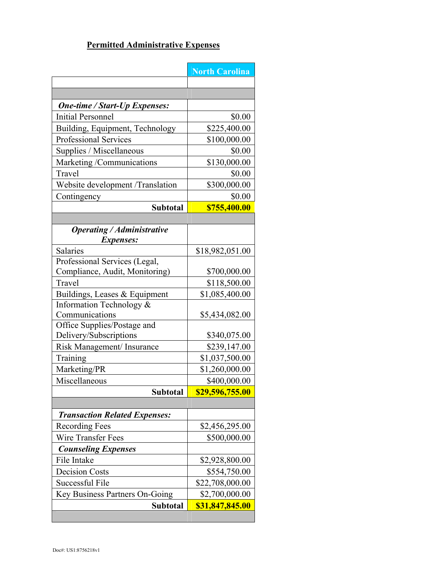# **Permitted Administrative Expenses**

|                                                                  | <b>North Carolina</b> |
|------------------------------------------------------------------|-----------------------|
|                                                                  |                       |
|                                                                  |                       |
| <b>One-time / Start-Up Expenses:</b><br><b>Initial Personnel</b> |                       |
|                                                                  | \$0.00                |
| Building, Equipment, Technology                                  | \$225,400.00          |
| <b>Professional Services</b>                                     | \$100,000.00          |
| Supplies / Miscellaneous                                         | \$0.00                |
| Marketing /Communications                                        | \$130,000.00          |
| Travel                                                           | \$0.00                |
| Website development /Translation                                 | \$300,000.00          |
| Contingency                                                      | \$0.00                |
| <b>Subtotal</b>                                                  | \$755,400.00          |
|                                                                  |                       |
| <b>Operating / Administrative</b><br><i>Expenses:</i>            |                       |
| Salaries                                                         | \$18,982,051.00       |
| Professional Services (Legal,                                    |                       |
| Compliance, Audit, Monitoring)                                   | \$700,000.00          |
| Travel                                                           | \$118,500.00          |
| Buildings, Leases & Equipment                                    | \$1,085,400.00        |
| Information Technology &                                         |                       |
| Communications                                                   | \$5,434,082.00        |
| Office Supplies/Postage and                                      |                       |
| Delivery/Subscriptions                                           | \$340,075.00          |
| Risk Management/ Insurance                                       | \$239,147.00          |
| Training                                                         | \$1,037,500.00        |
| Marketing/PR                                                     | \$1,260,000.00        |
| Miscellaneous                                                    | \$400,000.00          |
| <b>Subtotal</b>                                                  | \$29,596,755.00       |
|                                                                  |                       |
| <b>Transaction Related Expenses:</b>                             |                       |
| <b>Recording Fees</b>                                            | \$2,456,295.00        |
| Wire Transfer Fees                                               | \$500,000.00          |
| <b>Counseling Expenses</b>                                       |                       |
| File Intake                                                      | \$2,928,800.00        |
| <b>Decision Costs</b>                                            | \$554,750.00          |
| Successful File                                                  | \$22,708,000.00       |
| Key Business Partners On-Going                                   | \$2,700,000.00        |
| <b>Subtotal</b>                                                  | \$31,847,845.00       |
|                                                                  |                       |